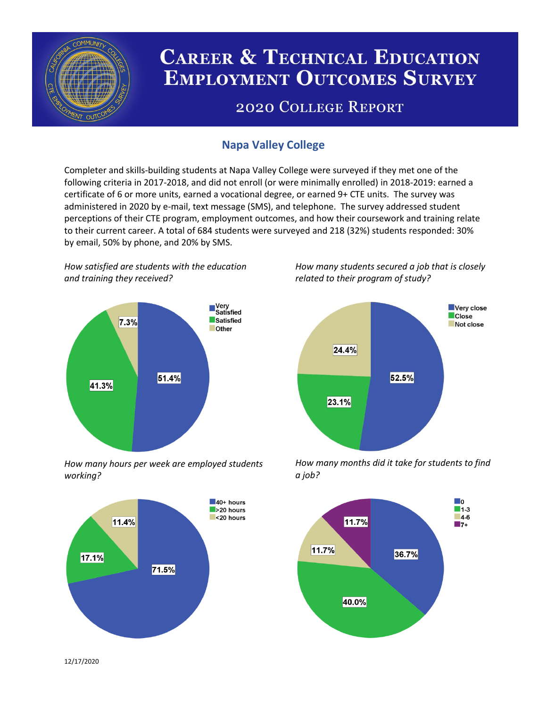

# **CAREER & TECHNICAL EDUCATION EMPLOYMENT OUTCOMES SURVEY**

## **2020 COLLEGE REPORT**

### **Napa Valley College**

Completer and skills-building students at Napa Valley College were surveyed if they met one of the following criteria in 2017-2018, and did not enroll (or were minimally enrolled) in 2018-2019: earned a certificate of 6 or more units, earned a vocational degree, or earned 9+ CTE units. The survey was administered in 2020 by e-mail, text message (SMS), and telephone. The survey addressed student perceptions of their CTE program, employment outcomes, and how their coursework and training relate to their current career. A total of 684 students were surveyed and 218 (32%) students responded: 30% by email, 50% by phone, and 20% by SMS.

*How satisfied are students with the education and training they received?*



*How many hours per week are employed students working?*



*How many students secured a job that is closely related to their program of study?*



*How many months did it take for students to find a job?*



12/17/2020